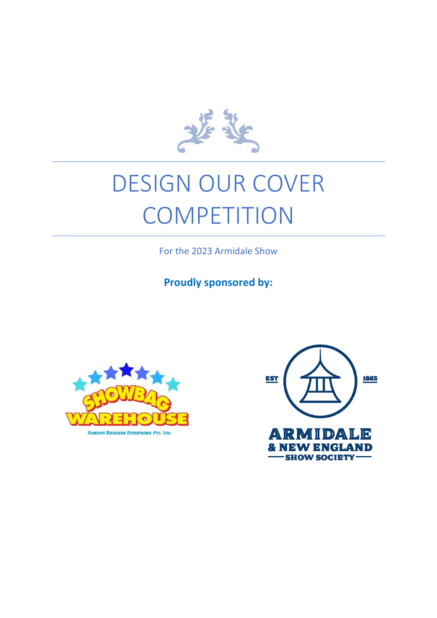

# DESIGN OUR COVER **COMPETITION**

For the 2023 Armidale Show

**Proudly sponsored by:**



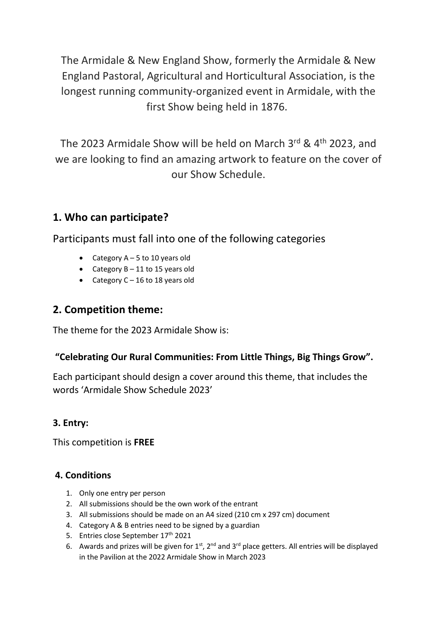The Armidale & New England Show, formerly the Armidale & New England Pastoral, Agricultural and Horticultural Association, is the longest running community-organized event in Armidale, with the first Show being held in 1876.

The 2023 Armidale Show will be held on March 3rd & 4<sup>th</sup> 2023, and we are looking to find an amazing artwork to feature on the cover of our Show Schedule.

## **1. Who can participate?**

Participants must fall into one of the following categories

- Category  $A 5$  to 10 years old
- Category  $B 11$  to 15 years old
- Category C 16 to 18 years old

### **2. Competition theme:**

The theme for the 2023 Armidale Show is:

#### **"Celebrating Our Rural Communities: From Little Things, Big Things Grow".**

Each participant should design a cover around this theme, that includes the words 'Armidale Show Schedule 2023'

#### **3. Entry:**

This competition is **FREE**

#### **4. Conditions**

- 1. Only one entry per person
- 2. All submissions should be the own work of the entrant
- 3. All submissions should be made on an A4 sized (210 cm x 297 cm) document
- 4. Category A & B entries need to be signed by a guardian
- 5. Entries close September 17<sup>th</sup> 2021
- 6. Awards and prizes will be given for  $1<sup>st</sup>$ , 2<sup>nd</sup> and 3<sup>rd</sup> place getters. All entries will be displayed in the Pavilion at the 2022 Armidale Show in March 2023